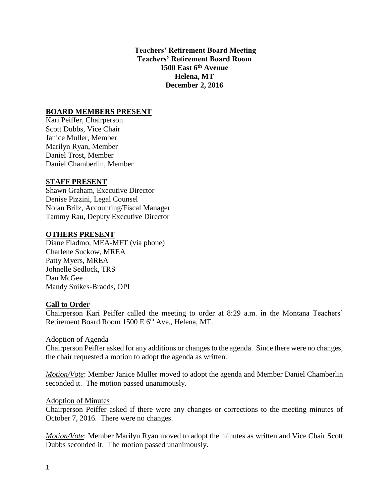**Teachers' Retirement Board Meeting Teachers' Retirement Board Room 1500 East 6th Avenue Helena, MT December 2, 2016**

## **BOARD MEMBERS PRESENT**

Kari Peiffer, Chairperson Scott Dubbs, Vice Chair Janice Muller, Member Marilyn Ryan, Member Daniel Trost, Member Daniel Chamberlin, Member

#### **STAFF PRESENT**

Shawn Graham, Executive Director Denise Pizzini, Legal Counsel Nolan Brilz, Accounting/Fiscal Manager Tammy Rau, Deputy Executive Director

#### **OTHERS PRESENT**

Diane Fladmo, MEA-MFT (via phone) Charlene Suckow, MREA Patty Myers, MREA Johnelle Sedlock, TRS Dan McGee Mandy Snikes-Bradds, OPI

#### **Call to Order**

Chairperson Kari Peiffer called the meeting to order at 8:29 a.m. in the Montana Teachers' Retirement Board Room 1500 E 6<sup>th</sup> Ave., Helena, MT.

#### Adoption of Agenda

Chairperson Peiffer asked for any additions or changes to the agenda. Since there were no changes, the chair requested a motion to adopt the agenda as written.

*Motion/Vote*: Member Janice Muller moved to adopt the agenda and Member Daniel Chamberlin seconded it. The motion passed unanimously.

#### Adoption of Minutes

Chairperson Peiffer asked if there were any changes or corrections to the meeting minutes of October 7, 2016. There were no changes.

*Motion/Vote*: Member Marilyn Ryan moved to adopt the minutes as written and Vice Chair Scott Dubbs seconded it. The motion passed unanimously.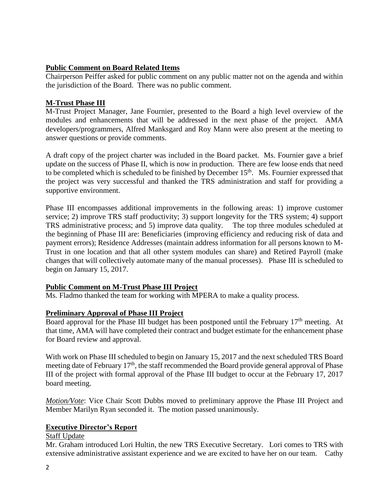# **Public Comment on Board Related Items**

Chairperson Peiffer asked for public comment on any public matter not on the agenda and within the jurisdiction of the Board. There was no public comment.

# **M-Trust Phase III**

M-Trust Project Manager, Jane Fournier, presented to the Board a high level overview of the modules and enhancements that will be addressed in the next phase of the project. AMA developers/programmers, Alfred Manksgard and Roy Mann were also present at the meeting to answer questions or provide comments.

A draft copy of the project charter was included in the Board packet. Ms. Fournier gave a brief update on the success of Phase II, which is now in production. There are few loose ends that need to be completed which is scheduled to be finished by December  $15<sup>th</sup>$ . Ms. Fournier expressed that the project was very successful and thanked the TRS administration and staff for providing a supportive environment.

Phase III encompasses additional improvements in the following areas: 1) improve customer service; 2) improve TRS staff productivity; 3) support longevity for the TRS system; 4) support TRS administrative process; and 5) improve data quality. The top three modules scheduled at the beginning of Phase III are: Beneficiaries (improving efficiency and reducing risk of data and payment errors); Residence Addresses (maintain address information for all persons known to M-Trust in one location and that all other system modules can share) and Retired Payroll (make changes that will collectively automate many of the manual processes). Phase III is scheduled to begin on January 15, 2017.

## **Public Comment on M-Trust Phase III Project**

Ms. Fladmo thanked the team for working with MPERA to make a quality process.

## **Preliminary Approval of Phase III Project**

Board approval for the Phase III budget has been postponed until the February 17<sup>th</sup> meeting. At that time, AMA will have completed their contract and budget estimate for the enhancement phase for Board review and approval.

With work on Phase III scheduled to begin on January 15, 2017 and the next scheduled TRS Board meeting date of February 17<sup>th</sup>, the staff recommended the Board provide general approval of Phase III of the project with formal approval of the Phase III budget to occur at the February 17, 2017 board meeting.

*Motion/Vote*: Vice Chair Scott Dubbs moved to preliminary approve the Phase III Project and Member Marilyn Ryan seconded it. The motion passed unanimously.

## **Executive Director's Report**

## Staff Update

Mr. Graham introduced Lori Hultin, the new TRS Executive Secretary. Lori comes to TRS with extensive administrative assistant experience and we are excited to have her on our team. Cathy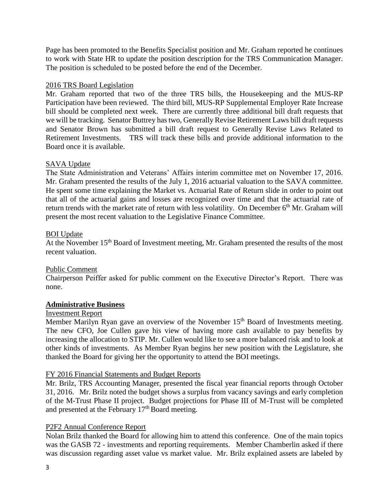Page has been promoted to the Benefits Specialist position and Mr. Graham reported he continues to work with State HR to update the position description for the TRS Communication Manager. The position is scheduled to be posted before the end of the December.

# 2016 TRS Board Legislation

Mr. Graham reported that two of the three TRS bills, the Housekeeping and the MUS-RP Participation have been reviewed. The third bill, MUS-RP Supplemental Employer Rate Increase bill should be completed next week. There are currently three additional bill draft requests that we will be tracking. Senator Buttrey has two, Generally Revise Retirement Laws bill draft requests and Senator Brown has submitted a bill draft request to Generally Revise Laws Related to Retirement Investments. TRS will track these bills and provide additional information to the Board once it is available.

# SAVA Update

The State Administration and Veterans' Affairs interim committee met on November 17, 2016. Mr. Graham presented the results of the July 1, 2016 actuarial valuation to the SAVA committee. He spent some time explaining the Market vs. Actuarial Rate of Return slide in order to point out that all of the actuarial gains and losses are recognized over time and that the actuarial rate of return trends with the market rate of return with less volatility. On December  $6<sup>th</sup>$  Mr. Graham will present the most recent valuation to the Legislative Finance Committee.

## BOI Update

At the November 15<sup>th</sup> Board of Investment meeting, Mr. Graham presented the results of the most recent valuation.

## Public Comment

Chairperson Peiffer asked for public comment on the Executive Director's Report. There was none.

## **Administrative Business**

## Investment Report

Member Marilyn Ryan gave an overview of the November 15<sup>th</sup> Board of Investments meeting. The new CFO, Joe Cullen gave his view of having more cash available to pay benefits by increasing the allocation to STIP. Mr. Cullen would like to see a more balanced risk and to look at other kinds of investments. As Member Ryan begins her new position with the Legislature, she thanked the Board for giving her the opportunity to attend the BOI meetings.

## FY 2016 Financial Statements and Budget Reports

Mr. Brilz, TRS Accounting Manager, presented the fiscal year financial reports through October 31, 2016. Mr. Brilz noted the budget shows a surplus from vacancy savings and early completion of the M-Trust Phase II project. Budget projections for Phase III of M-Trust will be completed and presented at the February 17<sup>th</sup> Board meeting.

## P2F2 Annual Conference Report

Nolan Brilz thanked the Board for allowing him to attend this conference. One of the main topics was the GASB 72 - investments and reporting requirements. Member Chamberlin asked if there was discussion regarding asset value vs market value. Mr. Brilz explained assets are labeled by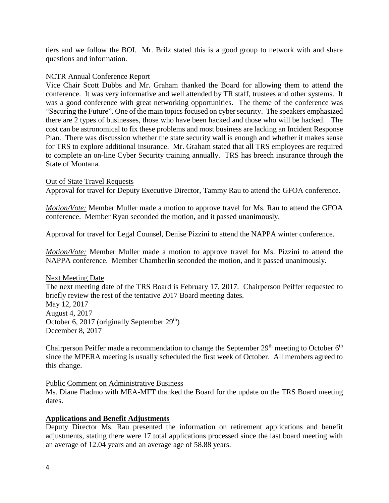tiers and we follow the BOI. Mr. Brilz stated this is a good group to network with and share questions and information.

#### NCTR Annual Conference Report

Vice Chair Scott Dubbs and Mr. Graham thanked the Board for allowing them to attend the conference. It was very informative and well attended by TR staff, trustees and other systems. It was a good conference with great networking opportunities. The theme of the conference was "Securing the Future". One of the main topics focused on cyber security. The speakers emphasized there are 2 types of businesses, those who have been hacked and those who will be hacked. The cost can be astronomical to fix these problems and most business are lacking an Incident Response Plan. There was discussion whether the state security wall is enough and whether it makes sense for TRS to explore additional insurance. Mr. Graham stated that all TRS employees are required to complete an on-line Cyber Security training annually. TRS has breech insurance through the State of Montana.

#### Out of State Travel Requests

Approval for travel for Deputy Executive Director, Tammy Rau to attend the GFOA conference.

*Motion/Vote:* Member Muller made a motion to approve travel for Ms. Rau to attend the GFOA conference. Member Ryan seconded the motion, and it passed unanimously.

Approval for travel for Legal Counsel, Denise Pizzini to attend the NAPPA winter conference.

*Motion/Vote:* Member Muller made a motion to approve travel for Ms. Pizzini to attend the NAPPA conference. Member Chamberlin seconded the motion, and it passed unanimously.

Next Meeting Date The next meeting date of the TRS Board is February 17, 2017. Chairperson Peiffer requested to briefly review the rest of the tentative 2017 Board meeting dates. May 12, 2017 August 4, 2017 October 6, 2017 (originally September  $29<sup>th</sup>$ ) December 8, 2017

Chairperson Peiffer made a recommendation to change the September  $29<sup>th</sup>$  meeting to October  $6<sup>th</sup>$ since the MPERA meeting is usually scheduled the first week of October. All members agreed to this change.

## Public Comment on Administrative Business

Ms. Diane Fladmo with MEA-MFT thanked the Board for the update on the TRS Board meeting dates.

## **Applications and Benefit Adjustments**

Deputy Director Ms. Rau presented the information on retirement applications and benefit adjustments, stating there were 17 total applications processed since the last board meeting with an average of 12.04 years and an average age of 58.88 years.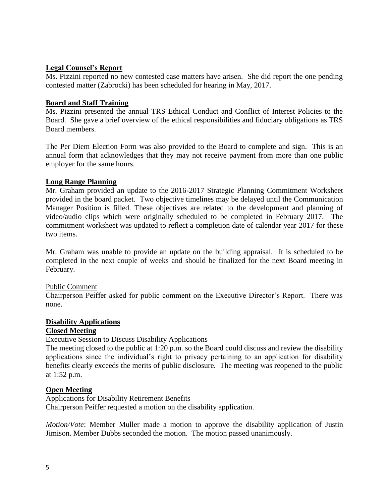## **Legal Counsel's Report**

Ms. Pizzini reported no new contested case matters have arisen. She did report the one pending contested matter (Zabrocki) has been scheduled for hearing in May, 2017.

## **Board and Staff Training**

Ms. Pizzini presented the annual TRS Ethical Conduct and Conflict of Interest Policies to the Board. She gave a brief overview of the ethical responsibilities and fiduciary obligations as TRS Board members.

The Per Diem Election Form was also provided to the Board to complete and sign. This is an annual form that acknowledges that they may not receive payment from more than one public employer for the same hours.

## **Long Range Planning**

Mr. Graham provided an update to the 2016-2017 Strategic Planning Commitment Worksheet provided in the board packet. Two objective timelines may be delayed until the Communication Manager Position is filled. These objectives are related to the development and planning of video/audio clips which were originally scheduled to be completed in February 2017. The commitment worksheet was updated to reflect a completion date of calendar year 2017 for these two items.

Mr. Graham was unable to provide an update on the building appraisal. It is scheduled to be completed in the next couple of weeks and should be finalized for the next Board meeting in February.

## Public Comment

Chairperson Peiffer asked for public comment on the Executive Director's Report. There was none.

## **Disability Applications**

## **Closed Meeting**

## Executive Session to Discuss Disability Applications

The meeting closed to the public at 1:20 p.m. so the Board could discuss and review the disability applications since the individual's right to privacy pertaining to an application for disability benefits clearly exceeds the merits of public disclosure. The meeting was reopened to the public at 1:52 p.m.

## **Open Meeting**

Applications for Disability Retirement Benefits

Chairperson Peiffer requested a motion on the disability application.

*Motion/Vote*: Member Muller made a motion to approve the disability application of Justin Jimison. Member Dubbs seconded the motion. The motion passed unanimously.